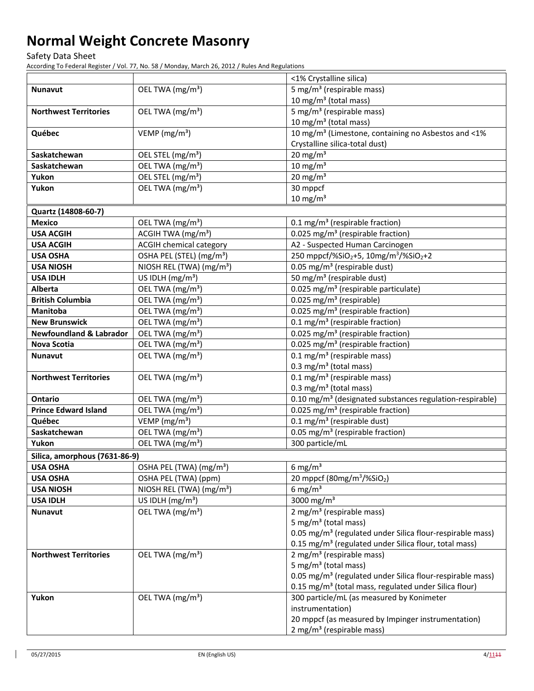Safety Data Sheet

According To Federal Register / Vol. 77, No. 58 / Monday, March 26, 2012 / Rules And Regulations

|                                    |                                            | <1% Crystalline silica)                                                   |
|------------------------------------|--------------------------------------------|---------------------------------------------------------------------------|
| <b>Nunavut</b>                     | OEL TWA (mg/m <sup>3</sup> )               | 5 mg/m <sup>3</sup> (respirable mass)                                     |
|                                    |                                            | 10 mg/m <sup>3</sup> (total mass)                                         |
| <b>Northwest Territories</b>       | OEL TWA (mg/m <sup>3</sup> )               | 5 mg/m <sup>3</sup> (respirable mass)                                     |
|                                    |                                            | 10 mg/m <sup>3</sup> (total mass)                                         |
| Québec                             | VEMP ( $mg/m3$ )                           | 10 mg/m <sup>3</sup> (Limestone, containing no Asbestos and <1%           |
|                                    |                                            | Crystalline silica-total dust)                                            |
| Saskatchewan                       | OEL STEL (mg/m <sup>3</sup> )              | $20 \text{ mg/m}^3$                                                       |
| Saskatchewan                       | OEL TWA (mg/m <sup>3</sup> )               | $10 \text{ mg/m}^3$                                                       |
| Yukon                              | OEL STEL (mg/m <sup>3</sup> )              | $20 \text{ mg/m}^3$                                                       |
| Yukon                              | OEL TWA (mg/m <sup>3</sup> )               | 30 mppcf                                                                  |
|                                    |                                            | $10 \text{ mg/m}^3$                                                       |
| Quartz (14808-60-7)                |                                            |                                                                           |
| <b>Mexico</b>                      | OEL TWA (mg/m <sup>3</sup> )               | 0.1 mg/m <sup>3</sup> (respirable fraction)                               |
| <b>USA ACGIH</b>                   | ACGIH TWA (mg/m <sup>3</sup> )             | 0.025 mg/m <sup>3</sup> (respirable fraction)                             |
| <b>USA ACGIH</b>                   | <b>ACGIH chemical category</b>             | A2 - Suspected Human Carcinogen                                           |
| <b>USA OSHA</b>                    | OSHA PEL (STEL) (mg/m <sup>3</sup> )       | 250 mppcf/%SiO <sub>2</sub> +5, 10mg/m <sup>3</sup> /%SiO <sub>2</sub> +2 |
| <b>USA NIOSH</b>                   | NIOSH REL (TWA) (mg/m <sup>3</sup> )       | $0.05$ mg/m <sup>3</sup> (respirable dust)                                |
| <b>USA IDLH</b>                    | US IDLH $(mg/m3)$                          | 50 mg/m <sup>3</sup> (respirable dust)                                    |
| Alberta                            | OEL TWA (mg/m <sup>3</sup> )               | 0.025 mg/m <sup>3</sup> (respirable particulate)                          |
| <b>British Columbia</b>            | OEL TWA (mg/m <sup>3</sup> )               | 0.025 mg/m <sup>3</sup> (respirable)                                      |
| <b>Manitoba</b>                    | OEL TWA (mg/m <sup>3</sup> )               | 0.025 mg/m <sup>3</sup> (respirable fraction)                             |
| <b>New Brunswick</b>               | OEL TWA (mg/m <sup>3</sup> )               | 0.1 mg/m <sup>3</sup> (respirable fraction)                               |
| <b>Newfoundland &amp; Labrador</b> | OEL TWA (mg/m <sup>3</sup> )               | 0.025 mg/m <sup>3</sup> (respirable fraction)                             |
| <b>Nova Scotia</b>                 | OEL TWA (mg/m <sup>3</sup> )               | 0.025 mg/m <sup>3</sup> (respirable fraction)                             |
| <b>Nunavut</b>                     | OEL TWA (mg/m <sup>3</sup> )               | $0.1 \text{ mg/m}^3$ (respirable mass)                                    |
|                                    |                                            | 0.3 mg/m <sup>3</sup> (total mass)                                        |
| <b>Northwest Territories</b>       | OEL TWA (mg/m <sup>3</sup> )               | 0.1 mg/m <sup>3</sup> (respirable mass)                                   |
|                                    |                                            | 0.3 mg/m <sup>3</sup> (total mass)                                        |
| <b>Ontario</b>                     | OEL TWA (mg/m <sup>3</sup> )               | 0.10 mg/m <sup>3</sup> (designated substances regulation-respirable)      |
| <b>Prince Edward Island</b>        | $\overline{OE}$ L TWA (mg/m <sup>3</sup> ) | 0.025 mg/m <sup>3</sup> (respirable fraction)                             |
| Québec                             | VEMP ( $mg/m3$ )                           | $0.1$ mg/m <sup>3</sup> (respirable dust)                                 |
| Saskatchewan                       | OEL TWA (mg/m <sup>3</sup> )               | 0.05 mg/m <sup>3</sup> (respirable fraction)                              |
| Yukon                              | OEL TWA (mg/m <sup>3</sup> )               | 300 particle/mL                                                           |
| Silica, amorphous (7631-86-9)      |                                            |                                                                           |
| <b>USA OSHA</b>                    | OSHA PEL (TWA) (mg/m <sup>3</sup> )        | 6 mg/ $m3$                                                                |
| <b>USA OSHA</b>                    | OSHA PEL (TWA) (ppm)                       | 20 mppcf (80mg/m <sup>3</sup> /%SiO <sub>2</sub> )                        |
| <b>USA NIOSH</b>                   | NIOSH REL (TWA) (mg/m <sup>3</sup> )       | 6 mg/m <sup>3</sup>                                                       |
| <b>USA IDLH</b>                    | US IDLH $(mg/m3)$                          | 3000 mg/m <sup>3</sup>                                                    |
| <b>Nunavut</b>                     | OEL TWA (mg/m <sup>3</sup> )               | 2 mg/m <sup>3</sup> (respirable mass)                                     |
|                                    |                                            | 5 mg/m <sup>3</sup> (total mass)                                          |
|                                    |                                            | 0.05 mg/m <sup>3</sup> (regulated under Silica flour-respirable mass)     |
|                                    |                                            | 0.15 mg/m <sup>3</sup> (regulated under Silica flour, total mass)         |
| <b>Northwest Territories</b>       | OEL TWA (mg/m <sup>3</sup> )               | 2 mg/m <sup>3</sup> (respirable mass)                                     |
|                                    |                                            | 5 mg/m <sup>3</sup> (total mass)                                          |
|                                    |                                            | 0.05 mg/m <sup>3</sup> (regulated under Silica flour-respirable mass)     |
|                                    |                                            | 0.15 mg/m <sup>3</sup> (total mass, regulated under Silica flour)         |
| Yukon                              | OEL TWA (mg/m <sup>3</sup> )               | 300 particle/mL (as measured by Konimeter                                 |
|                                    |                                            | instrumentation)                                                          |
|                                    |                                            | 20 mppcf (as measured by Impinger instrumentation)                        |
|                                    |                                            | 2 mg/m <sup>3</sup> (respirable mass)                                     |

 $\mathsf{l}$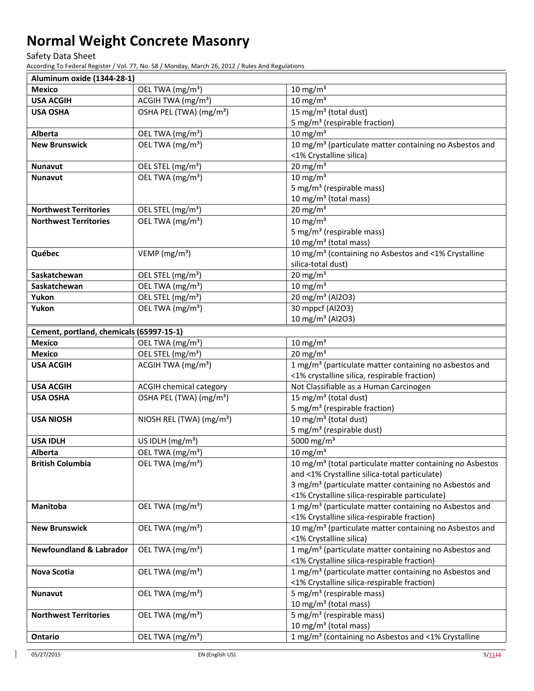Safety Data Sheet

According To Federal Register / Vol. 77, No. 58 / Monday, March 26, 2012 / Rules And Regulations

| Aluminum oxide (1344-28-1)               |                                      |                                                                                |
|------------------------------------------|--------------------------------------|--------------------------------------------------------------------------------|
| <b>Mexico</b>                            | OEL TWA (mg/m <sup>3</sup> )         | 10 mg/m $3$                                                                    |
| <b>USA ACGIH</b>                         | ACGIH TWA (mg/m <sup>3</sup> )       | $10 \text{ mg/m}^3$                                                            |
| <b>USA OSHA</b>                          | OSHA PEL (TWA) (mg/m <sup>3</sup> )  | 15 mg/m <sup>3</sup> (total dust)                                              |
|                                          |                                      | 5 mg/m <sup>3</sup> (respirable fraction)                                      |
| Alberta                                  | OEL TWA (mg/m <sup>3</sup> )         | $10 \text{ mg/m}^3$                                                            |
| <b>New Brunswick</b>                     | OEL TWA (mg/m <sup>3</sup> )         | 10 mg/m <sup>3</sup> (particulate matter containing no Asbestos and            |
|                                          |                                      | <1% Crystalline silica)                                                        |
| <b>Nunavut</b>                           | OEL STEL (mg/m <sup>3</sup> )        | $20 \text{ mg/m}^3$                                                            |
| <b>Nunavut</b>                           | OEL TWA (mg/m <sup>3</sup> )         | $10 \text{ mg/m}^3$                                                            |
|                                          |                                      | 5 mg/m <sup>3</sup> (respirable mass)                                          |
|                                          |                                      | 10 mg/m <sup>3</sup> (total mass)                                              |
| <b>Northwest Territories</b>             | OEL STEL (mg/m <sup>3</sup> )        | $20$ mg/m <sup>3</sup>                                                         |
| <b>Northwest Territories</b>             | OEL TWA (mg/m <sup>3</sup> )         | $10 \text{ mg/m}^3$                                                            |
|                                          |                                      | 5 mg/m <sup>3</sup> (respirable mass)                                          |
|                                          |                                      | 10 mg/m <sup>3</sup> (total mass)                                              |
| Québec                                   | VEMP ( $mg/m3$ )                     | 10 mg/m <sup>3</sup> (containing no Asbestos and <1% Crystalline               |
|                                          |                                      | silica-total dust)                                                             |
| Saskatchewan                             | OEL STEL (mg/m <sup>3</sup> )        | $20 \text{ mg/m}^3$                                                            |
| Saskatchewan                             | OEL TWA (mg/m <sup>3</sup> )         | $10 \text{ mg/m}^3$                                                            |
| Yukon                                    | OEL STEL (mg/m <sup>3</sup> )        | 20 mg/m <sup>3</sup> (Al2O3)                                                   |
| Yukon                                    | OEL TWA (mg/m <sup>3</sup> )         | 30 mppcf (Al2O3)                                                               |
|                                          |                                      | 10 mg/m <sup>3</sup> (Al2O3)                                                   |
| Cement, portland, chemicals (65997-15-1) |                                      |                                                                                |
| <b>Mexico</b>                            | OEL TWA (mg/m <sup>3</sup> )         | $10 \text{ mg/m}^3$                                                            |
| <b>Mexico</b>                            | OEL STEL (mg/m <sup>3</sup> )        | $20 \text{ mg/m}^3$                                                            |
| <b>USA ACGIH</b>                         | ACGIH TWA (mg/m <sup>3</sup> )       | 1 mg/m <sup>3</sup> (particulate matter containing no asbestos and             |
|                                          |                                      | <1% crystalline silica, respirable fraction)                                   |
| <b>USA ACGIH</b>                         | <b>ACGIH chemical category</b>       | Not Classifiable as a Human Carcinogen                                         |
| <b>USA OSHA</b>                          | OSHA PEL (TWA) (mg/m <sup>3</sup> )  | 15 mg/m <sup>3</sup> (total dust)                                              |
| <b>USA NIOSH</b>                         | NIOSH REL (TWA) (mg/m <sup>3</sup> ) | 5 mg/m <sup>3</sup> (respirable fraction)<br>10 mg/m <sup>3</sup> (total dust) |
|                                          |                                      | 5 mg/m <sup>3</sup> (respirable dust)                                          |
| <b>USA IDLH</b>                          | US IDLH $(mg/m3)$                    | 5000 mg/m <sup>3</sup>                                                         |
| Alberta                                  | OEL TWA (mg/m <sup>3</sup> )         | $10 \text{ mg/m}^3$                                                            |
| <b>British Columbia</b>                  | OEL TWA (mg/m <sup>3</sup> )         | 10 mg/m <sup>3</sup> (total particulate matter containing no Asbestos          |
|                                          |                                      | and <1% Crystalline silica-total particulate)                                  |
|                                          |                                      | 3 mg/m <sup>3</sup> (particulate matter containing no Asbestos and             |
|                                          |                                      | <1% Crystalline silica-respirable particulate)                                 |
| Manitoba                                 | OEL TWA (mg/m <sup>3</sup> )         | 1 mg/m <sup>3</sup> (particulate matter containing no Asbestos and             |
|                                          |                                      | <1% Crystalline silica-respirable fraction)                                    |
| <b>New Brunswick</b>                     | OEL TWA (mg/m <sup>3</sup> )         | 10 mg/m <sup>3</sup> (particulate matter containing no Asbestos and            |
|                                          |                                      | <1% Crystalline silica)                                                        |
| <b>Newfoundland &amp; Labrador</b>       | OEL TWA (mg/m <sup>3</sup> )         | 1 mg/m <sup>3</sup> (particulate matter containing no Asbestos and             |
|                                          |                                      | <1% Crystalline silica-respirable fraction)                                    |
| Nova Scotia                              | OEL TWA (mg/m <sup>3</sup> )         | 1 mg/m <sup>3</sup> (particulate matter containing no Asbestos and             |
|                                          |                                      | <1% Crystalline silica-respirable fraction)                                    |
| <b>Nunavut</b>                           | OEL TWA (mg/m <sup>3</sup> )         | 5 mg/m <sup>3</sup> (respirable mass)                                          |
|                                          |                                      | 10 mg/m <sup>3</sup> (total mass)                                              |
| <b>Northwest Territories</b>             | OEL TWA (mg/m <sup>3</sup> )         | 5 mg/m <sup>3</sup> (respirable mass)                                          |
|                                          |                                      | 10 mg/m <sup>3</sup> (total mass)                                              |
| Ontario                                  | OEL TWA (mg/m <sup>3</sup> )         | 1 mg/m <sup>3</sup> (containing no Asbestos and <1% Crystalline                |

 $\overline{\phantom{a}}$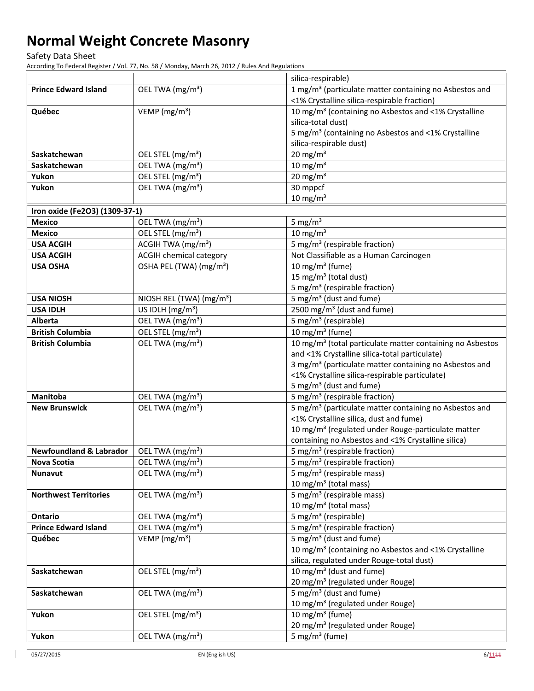Safety Data Sheet

According To Federal Register / Vol. 77, No. 58 / Monday, March 26, 2012 / Rules And Regulations

|                                    |                                      | silica-respirable)                                                                              |
|------------------------------------|--------------------------------------|-------------------------------------------------------------------------------------------------|
| <b>Prince Edward Island</b>        | OEL TWA (mg/m <sup>3</sup> )         | 1 mg/m <sup>3</sup> (particulate matter containing no Asbestos and                              |
|                                    |                                      | <1% Crystalline silica-respirable fraction)                                                     |
| Québec                             | VEMP (mg/m <sup>3</sup> )            | 10 mg/m <sup>3</sup> (containing no Asbestos and <1% Crystalline                                |
|                                    |                                      | silica-total dust)                                                                              |
|                                    |                                      | 5 mg/m <sup>3</sup> (containing no Asbestos and <1% Crystalline                                 |
|                                    |                                      | silica-respirable dust)                                                                         |
| Saskatchewan                       | OEL STEL (mg/m <sup>3</sup> )        | $20 \text{ mg/m}^3$                                                                             |
| Saskatchewan                       | OEL TWA (mg/m <sup>3</sup> )         | $10 \text{ mg/m}^3$                                                                             |
| Yukon                              | OEL STEL (mg/m <sup>3</sup> )        | $20 \text{ mg/m}^3$                                                                             |
| Yukon                              | OEL TWA (mg/m <sup>3</sup> )         | 30 mppcf                                                                                        |
|                                    |                                      | $10 \text{ mg/m}^3$                                                                             |
| Iron oxide (Fe2O3) (1309-37-1)     |                                      |                                                                                                 |
| <b>Mexico</b>                      | OEL TWA (mg/m <sup>3</sup> )         | 5 mg/ $m3$                                                                                      |
| <b>Mexico</b>                      | OEL STEL (mg/m <sup>3</sup> )        | $10 \text{ mg/m}^3$                                                                             |
| <b>USA ACGIH</b>                   | ACGIH TWA (mg/m <sup>3</sup> )       | 5 mg/m <sup>3</sup> (respirable fraction)                                                       |
| <b>USA ACGIH</b>                   | <b>ACGIH chemical category</b>       | Not Classifiable as a Human Carcinogen                                                          |
| <b>USA OSHA</b>                    | OSHA PEL (TWA) (mg/m <sup>3</sup> )  | 10 mg/m $3$ (fume)                                                                              |
|                                    |                                      | 15 mg/m <sup>3</sup> (total dust)                                                               |
|                                    |                                      | 5 mg/m <sup>3</sup> (respirable fraction)                                                       |
| <b>USA NIOSH</b>                   | NIOSH REL (TWA) (mg/m <sup>3</sup> ) | 5 mg/m <sup>3</sup> (dust and fume)                                                             |
| <b>USA IDLH</b>                    | US IDLH $(mg/m3)$                    | 2500 mg/m <sup>3</sup> (dust and fume)                                                          |
| <b>Alberta</b>                     | OEL TWA (mg/m <sup>3</sup> )         | 5 mg/m <sup>3</sup> (respirable)                                                                |
| <b>British Columbia</b>            | OEL STEL (mg/m <sup>3</sup> )        | $10$ mg/m <sup>3</sup> (fume)                                                                   |
| <b>British Columbia</b>            | OEL TWA (mg/m <sup>3</sup> )         | 10 mg/m <sup>3</sup> (total particulate matter containing no Asbestos                           |
|                                    |                                      | and <1% Crystalline silica-total particulate)                                                   |
|                                    |                                      | 3 mg/m <sup>3</sup> (particulate matter containing no Asbestos and                              |
|                                    |                                      | <1% Crystalline silica-respirable particulate)                                                  |
|                                    |                                      | 5 mg/m <sup>3</sup> (dust and fume)                                                             |
| <b>Manitoba</b>                    | OEL TWA (mg/m <sup>3</sup> )         | 5 mg/m <sup>3</sup> (respirable fraction)                                                       |
| <b>New Brunswick</b>               | OEL TWA (mg/m <sup>3</sup> )         | 5 mg/m <sup>3</sup> (particulate matter containing no Asbestos and                              |
|                                    |                                      | <1% Crystalline silica, dust and fume)                                                          |
|                                    |                                      | 10 mg/m <sup>3</sup> (regulated under Rouge-particulate matter                                  |
| <b>Newfoundland &amp; Labrador</b> |                                      | containing no Asbestos and <1% Crystalline silica)<br>5 mg/m <sup>3</sup> (respirable fraction) |
|                                    | OEL TWA (mg/m <sup>3</sup> )         | 5 mg/m <sup>3</sup> (respirable fraction)                                                       |
| Nova Scotia                        | OEL TWA (mg/m <sup>3</sup> )         | 5 mg/m <sup>3</sup> (respirable mass)                                                           |
| <b>Nunavut</b>                     | OEL TWA (mg/m <sup>3</sup> )         | 10 mg/m <sup>3</sup> (total mass)                                                               |
| <b>Northwest Territories</b>       | OEL TWA (mg/m <sup>3</sup> )         | 5 mg/m <sup>3</sup> (respirable mass)                                                           |
|                                    |                                      | 10 mg/m <sup>3</sup> (total mass)                                                               |
| <b>Ontario</b>                     | OEL TWA (mg/m <sup>3</sup> )         | 5 mg/m <sup>3</sup> (respirable)                                                                |
| <b>Prince Edward Island</b>        | OEL TWA (mg/m <sup>3</sup> )         | 5 mg/m <sup>3</sup> (respirable fraction)                                                       |
| Québec                             | VEMP ( $mg/m3$ )                     | 5 mg/m <sup>3</sup> (dust and fume)                                                             |
|                                    |                                      | 10 mg/m <sup>3</sup> (containing no Asbestos and <1% Crystalline                                |
|                                    |                                      | silica, regulated under Rouge-total dust)                                                       |
| Saskatchewan                       | OEL STEL (mg/m <sup>3</sup> )        | 10 mg/m <sup>3</sup> (dust and fume)                                                            |
|                                    |                                      | 20 mg/m <sup>3</sup> (regulated under Rouge)                                                    |
| Saskatchewan                       | OEL TWA (mg/m <sup>3</sup> )         | 5 mg/m <sup>3</sup> (dust and fume)                                                             |
|                                    |                                      | 10 mg/m <sup>3</sup> (regulated under Rouge)                                                    |
| Yukon                              | OEL STEL (mg/m <sup>3</sup> )        | 10 mg/m <sup>3</sup> (fume)                                                                     |
|                                    |                                      | 20 mg/m <sup>3</sup> (regulated under Rouge)                                                    |
| Yukon                              | OEL TWA (mg/m <sup>3</sup> )         | 5 mg/m <sup>3</sup> (fume)                                                                      |
|                                    |                                      |                                                                                                 |

 $\overline{\phantom{a}}$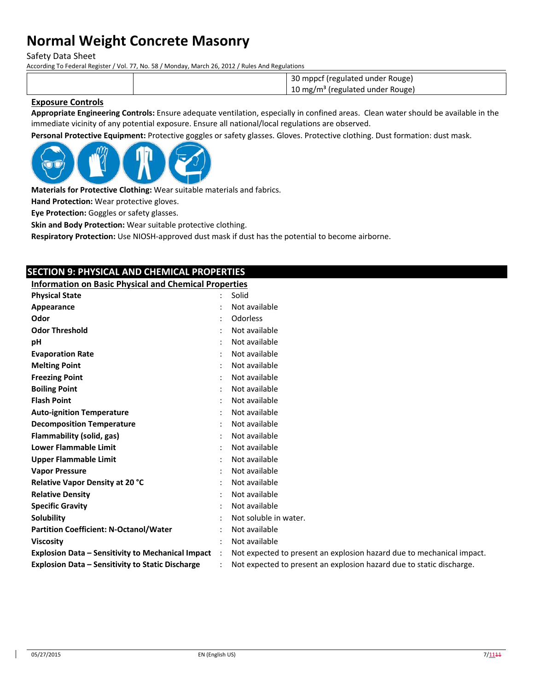Safety Data Sheet

According To Federal Register / Vol. 77, No. 58 / Monday, March 26, 2012 / Rules And Regulations

30 mppcf (regulated under Rouge) 10 mg/m<sup>3</sup> (regulated under Rouge)

### **Exposure Controls**

**Appropriate Engineering Controls:** Ensure adequate ventilation, especially in confined areas. Clean water should be available in the immediate vicinity of any potential exposure. Ensure all national/local regulations are observed.

**Personal Protective Equipment:** Protective goggles or safety glasses. Gloves. Protective clothing. Dust formation: dust mask.



**Materials for Protective Clothing:** Wear suitable materials and fabrics.

**Hand Protection:** Wear protective gloves.

**Eye Protection:** Goggles or safety glasses.

**Skin and Body Protection:** Wear suitable protective clothing.

**Respiratory Protection:** Use NIOSH‐approved dust mask if dust has the potential to become airborne.

## **SECTION 9: PHYSICAL AND CHEMICAL PROPERTIES**

**Information on Basic Physical and Chemical Properties**

| <b>Physical State</b>                                    |                      | Solid                                                                 |
|----------------------------------------------------------|----------------------|-----------------------------------------------------------------------|
|                                                          |                      | Not available                                                         |
| Appearance                                               |                      |                                                                       |
| Odor                                                     |                      | Odorless                                                              |
| <b>Odor Threshold</b>                                    |                      | Not available                                                         |
| рH                                                       |                      | Not available                                                         |
| <b>Evaporation Rate</b>                                  |                      | Not available                                                         |
| <b>Melting Point</b>                                     |                      | Not available                                                         |
| <b>Freezing Point</b>                                    |                      | Not available                                                         |
| <b>Boiling Point</b>                                     |                      | Not available                                                         |
| <b>Flash Point</b>                                       |                      | Not available                                                         |
| <b>Auto-ignition Temperature</b>                         |                      | Not available                                                         |
| <b>Decomposition Temperature</b>                         |                      | Not available                                                         |
| Flammability (solid, gas)                                |                      | Not available                                                         |
| <b>Lower Flammable Limit</b>                             |                      | Not available                                                         |
| <b>Upper Flammable Limit</b>                             |                      | Not available                                                         |
| <b>Vapor Pressure</b>                                    |                      | Not available                                                         |
| Relative Vapor Density at 20 °C                          |                      | Not available                                                         |
| <b>Relative Density</b>                                  |                      | Not available                                                         |
| <b>Specific Gravity</b>                                  |                      | Not available                                                         |
| Solubility                                               |                      | Not soluble in water.                                                 |
| <b>Partition Coefficient: N-Octanol/Water</b>            |                      | Not available                                                         |
| <b>Viscosity</b>                                         |                      | Not available                                                         |
| <b>Explosion Data - Sensitivity to Mechanical Impact</b> | $\ddot{\phantom{a}}$ | Not expected to present an explosion hazard due to mechanical impact. |
| Explosion Data - Sensitivity to Static Discharge         |                      | Not expected to present an explosion hazard due to static discharge.  |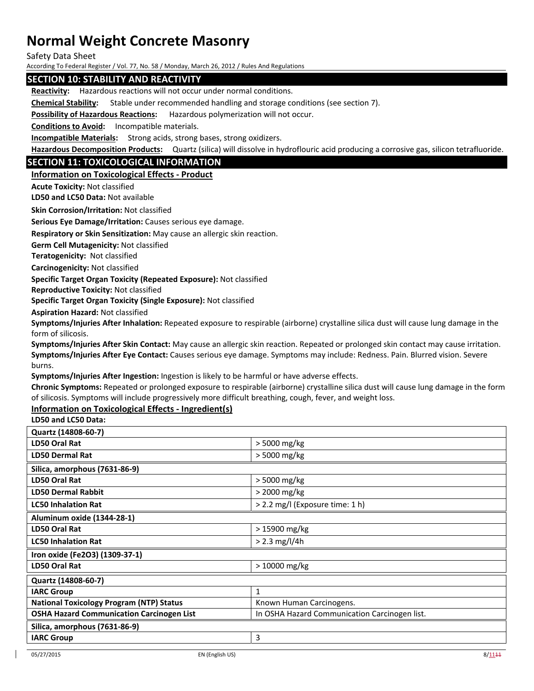Safety Data Sheet

According To Federal Register / Vol. 77, No. 58 / Monday, March 26, 2012 / Rules And Regulations

### **SECTION 10: STABILITY AND REACTIVITY**

**Reactivity:** Hazardous reactions will not occur under normal conditions.

**Chemical Stability:** Stable under recommended handling and storage conditions (see section 7).

**Possibility of Hazardous Reactions:** Hazardous polymerization will not occur.

**Conditions to Avoid:** Incompatible materials.

**Incompatible Materials:** Strong acids, strong bases, strong oxidizers.

**Hazardous Decomposition Products:** Quartz (silica) will dissolve in hydroflouric acid producing a corrosive gas, silicon tetrafluoride.

### **SECTION 11: TOXICOLOGICAL INFORMATION**

### **Information on Toxicological Effects ‐ Product**

**Acute Toxicity:** Not classified

**LD50 and LC50 Data:** Not available

**Skin Corrosion/Irritation:** Not classified

**Serious Eye Damage/Irritation:** Causes serious eye damage.

**Respiratory or Skin Sensitization:** May cause an allergic skin reaction.

**Germ Cell Mutagenicity:** Not classified

**Teratogenicity:** Not classified

**Carcinogenicity:** Not classified

**Specific Target Organ Toxicity (Repeated Exposure):** Not classified

**Reproductive Toxicity:** Not classified

**Specific Target Organ Toxicity (Single Exposure):** Not classified

**Aspiration Hazard:** Not classified

**Symptoms/Injuries After Inhalation:** Repeated exposure to respirable (airborne) crystalline silica dust will cause lung damage in the form of silicosis.

**Symptoms/Injuries After Skin Contact:** May cause an allergic skin reaction. Repeated or prolonged skin contact may cause irritation. **Symptoms/Injuries After Eye Contact:** Causes serious eye damage. Symptoms may include: Redness. Pain. Blurred vision. Severe burns.

**Symptoms/Injuries After Ingestion:** Ingestion is likely to be harmful or have adverse effects.

**Chronic Symptoms:** Repeated or prolonged exposure to respirable (airborne) crystalline silica dust will cause lung damage in the form of silicosis. Symptoms will include progressively more difficult breathing, cough, fever, and weight loss.

### **Information on Toxicological Effects ‐ Ingredient(s)**

**LD50 and LC50 Data:**

| Quartz (14808-60-7)                              |                                               |  |
|--------------------------------------------------|-----------------------------------------------|--|
| <b>LD50 Oral Rat</b>                             | > 5000 mg/kg                                  |  |
| <b>LD50 Dermal Rat</b>                           | > 5000 mg/kg                                  |  |
| Silica, amorphous (7631-86-9)                    |                                               |  |
| LD50 Oral Rat                                    | > 5000 mg/kg                                  |  |
| <b>LD50 Dermal Rabbit</b>                        | > 2000 mg/kg                                  |  |
| <b>LC50 Inhalation Rat</b>                       | > 2.2 mg/l (Exposure time: 1 h)               |  |
| Aluminum oxide (1344-28-1)                       |                                               |  |
| LD50 Oral Rat                                    | > 15900 mg/kg                                 |  |
| <b>LC50 Inhalation Rat</b>                       | $> 2.3$ mg/l/4h                               |  |
| Iron oxide (Fe2O3) (1309-37-1)                   |                                               |  |
| LD50 Oral Rat                                    | $>10000$ mg/kg                                |  |
| Quartz (14808-60-7)                              |                                               |  |
| <b>IARC Group</b>                                | $\mathbf{1}$                                  |  |
| <b>National Toxicology Program (NTP) Status</b>  | Known Human Carcinogens.                      |  |
| <b>OSHA Hazard Communication Carcinogen List</b> | In OSHA Hazard Communication Carcinogen list. |  |
| Silica, amorphous (7631-86-9)                    |                                               |  |
| <b>IARC Group</b>                                | 3                                             |  |
|                                                  |                                               |  |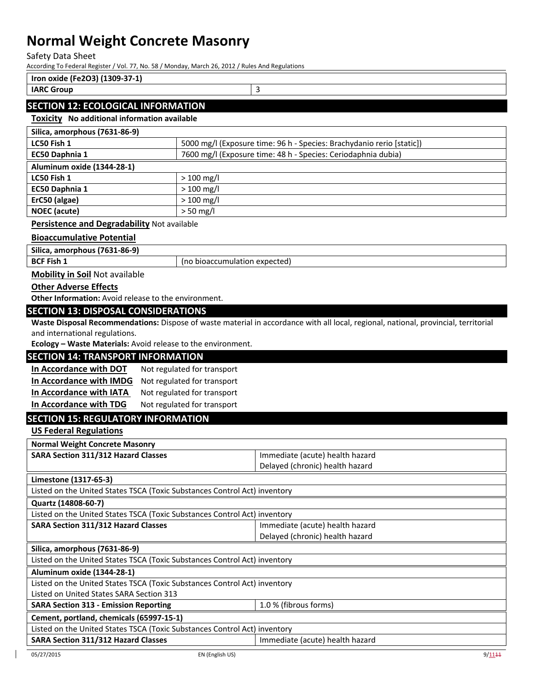Safety Data Sheet

 $\mathsf{r}$ 

According To Federal Register / Vol. 77, No. 58 / Monday, March 26, 2012 / Rules And Regulations

| Iron oxide (Fe2O3) (1309-37-1)            |  |
|-------------------------------------------|--|
| <b>IARC Group</b>                         |  |
| <b>SECTION 12: ECOLOGICAL INFORMATION</b> |  |

## **Toxicity No additional information available**

| Silica, amorphous (7631-86-9)                                                   |                               |                                                                                                                                     |  |
|---------------------------------------------------------------------------------|-------------------------------|-------------------------------------------------------------------------------------------------------------------------------------|--|
| LC50 Fish 1                                                                     |                               | 5000 mg/l (Exposure time: 96 h - Species: Brachydanio rerio [static])                                                               |  |
| EC50 Daphnia 1<br>7600 mg/l (Exposure time: 48 h - Species: Ceriodaphnia dubia) |                               |                                                                                                                                     |  |
| Aluminum oxide (1344-28-1)                                                      |                               |                                                                                                                                     |  |
| LC50 Fish 1                                                                     | $>100$ mg/l                   |                                                                                                                                     |  |
| $>100$ mg/l<br>EC50 Daphnia 1                                                   |                               |                                                                                                                                     |  |
| ErC50 (algae)                                                                   | $>100$ mg/l                   |                                                                                                                                     |  |
| <b>NOEC</b> (acute)                                                             | $> 50$ mg/l                   |                                                                                                                                     |  |
| Persistence and Degradability Not available                                     |                               |                                                                                                                                     |  |
| <b>Bioaccumulative Potential</b>                                                |                               |                                                                                                                                     |  |
| Silica, amorphous (7631-86-9)                                                   |                               |                                                                                                                                     |  |
| <b>BCF Fish 1</b>                                                               | (no bioaccumulation expected) |                                                                                                                                     |  |
| <b>Mobility in Soil Not available</b>                                           |                               |                                                                                                                                     |  |
| <b>Other Adverse Effects</b>                                                    |                               |                                                                                                                                     |  |
| Other Information: Avoid release to the environment.                            |                               |                                                                                                                                     |  |
| <b>SECTION 13: DISPOSAL CONSIDERATIONS</b>                                      |                               |                                                                                                                                     |  |
|                                                                                 |                               | Waste Disposal Recommendations: Dispose of waste material in accordance with all local, regional, national, provincial, territorial |  |
| and international regulations.                                                  |                               |                                                                                                                                     |  |
| Ecology - Waste Materials: Avoid release to the environment.                    |                               |                                                                                                                                     |  |
| <b>SECTION 14: TRANSPORT INFORMATION</b>                                        |                               |                                                                                                                                     |  |
| In Accordance with DOT                                                          | Not regulated for transport   |                                                                                                                                     |  |
| In Accordance with IMDG                                                         | Not regulated for transport   |                                                                                                                                     |  |
| In Accordance with IATA                                                         | Not regulated for transport   |                                                                                                                                     |  |
| In Accordance with TDG                                                          | Not regulated for transport   |                                                                                                                                     |  |
| <b>SECTION 15: REGULATORY INFORMATION</b>                                       |                               |                                                                                                                                     |  |
| <b>US Federal Regulations</b>                                                   |                               |                                                                                                                                     |  |
| <b>Normal Weight Concrete Masonry</b>                                           |                               |                                                                                                                                     |  |
| <b>SARA Section 311/312 Hazard Classes</b>                                      |                               | Immediate (acute) health hazard                                                                                                     |  |
|                                                                                 |                               | Delayed (chronic) health hazard                                                                                                     |  |
| Limestone (1317-65-3)                                                           |                               |                                                                                                                                     |  |
| Listed on the United States TSCA (Toxic Substances Control Act) inventory       |                               |                                                                                                                                     |  |
| Quartz (14808-60-7)                                                             |                               |                                                                                                                                     |  |
| Listed on the United States TSCA (Toxic Substances Control Act) inventory       |                               |                                                                                                                                     |  |
| <b>SARA Section 311/312 Hazard Classes</b>                                      |                               | Immediate (acute) health hazard                                                                                                     |  |
|                                                                                 |                               | Delayed (chronic) health hazard                                                                                                     |  |
| Silica, amorphous (7631-86-9)                                                   |                               |                                                                                                                                     |  |
| Listed on the United States TSCA (Toxic Substances Control Act) inventory       |                               |                                                                                                                                     |  |
| Aluminum oxide (1344-28-1)                                                      |                               |                                                                                                                                     |  |
| Listed on the United States TSCA (Toxic Substances Control Act) inventory       |                               |                                                                                                                                     |  |
| Listed on United States SARA Section 313                                        |                               |                                                                                                                                     |  |
| <b>SARA Section 313 - Emission Reporting</b><br>1.0 % (fibrous forms)           |                               |                                                                                                                                     |  |
| Cement, portland, chemicals (65997-15-1)                                        |                               |                                                                                                                                     |  |
| Listed on the United States TSCA (Toxic Substances Control Act) inventory       |                               |                                                                                                                                     |  |
| SARA Section 311/312 Hazard Classes<br>Immediate (acute) health hazard          |                               |                                                                                                                                     |  |
|                                                                                 |                               |                                                                                                                                     |  |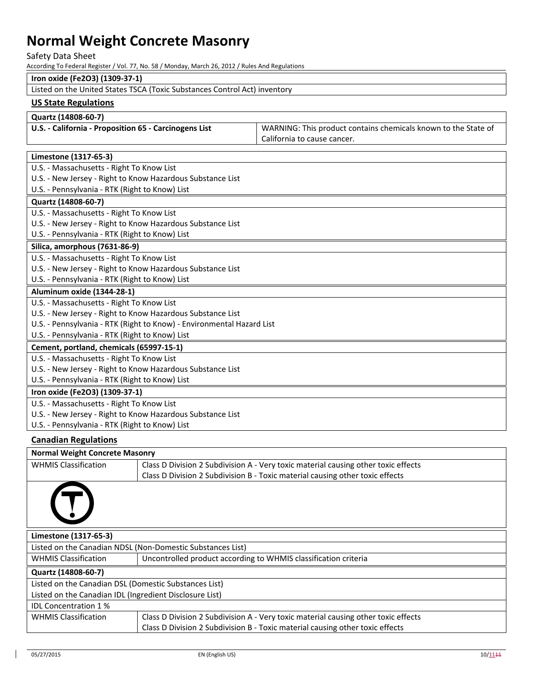### Safety Data Sheet

According To Federal Register / Vol. 77, No. 58 / Monday, March 26, 2012 / Rules And Regulations

## **Iron oxide (Fe2O3) (1309‐37‐1)**

| Listed on the United States TSCA (Toxic Substances Control Act) inventory |
|---------------------------------------------------------------------------|
|---------------------------------------------------------------------------|

## **US State Regulations**

#### **Quartz (14808‐60‐7)**

| U.S. - California - Proposition 65 - Carcinogens List | <sup>1</sup> WARNING: This product contains chemicals known to the State of |
|-------------------------------------------------------|-----------------------------------------------------------------------------|
|                                                       | California to cause cancer.                                                 |

## **Limestone (1317‐65‐3)**

| U.S. - Massachusetts - Right To Know List                             |
|-----------------------------------------------------------------------|
| U.S. - New Jersey - Right to Know Hazardous Substance List            |
| U.S. - Pennsylvania - RTK (Right to Know) List                        |
| Quartz (14808-60-7)                                                   |
| U.S. - Massachusetts - Right To Know List                             |
| U.S. - New Jersey - Right to Know Hazardous Substance List            |
| U.S. - Pennsylvania - RTK (Right to Know) List                        |
| Silica, amorphous (7631-86-9)                                         |
| U.S. - Massachusetts - Right To Know List                             |
| U.S. - New Jersey - Right to Know Hazardous Substance List            |
| U.S. - Pennsylvania - RTK (Right to Know) List                        |
| Aluminum oxide (1344-28-1)                                            |
| U.S. - Massachusetts - Right To Know List                             |
| U.S. - New Jersey - Right to Know Hazardous Substance List            |
| U.S. - Pennsylvania - RTK (Right to Know) - Environmental Hazard List |
| U.S. - Pennsylvania - RTK (Right to Know) List                        |
| Cement, portland, chemicals (65997-15-1)                              |
| U.S. - Massachusetts - Right To Know List                             |
| U.S. - New Jersey - Right to Know Hazardous Substance List            |
| U.S. - Pennsylvania - RTK (Right to Know) List                        |
| Iron oxide (Fe2O3) (1309-37-1)                                        |
| U.S. - Massachusetts - Right To Know List                             |
| U.S. - New Jersey - Right to Know Hazardous Substance List            |
|                                                                       |

### **Canadian Regulations**

| <b>Normal Weight Concrete Masonry</b>                      |                                                                                    |  |
|------------------------------------------------------------|------------------------------------------------------------------------------------|--|
| <b>WHMIS Classification</b>                                | Class D Division 2 Subdivision A - Very toxic material causing other toxic effects |  |
|                                                            | Class D Division 2 Subdivision B - Toxic material causing other toxic effects      |  |
|                                                            |                                                                                    |  |
| Limestone (1317-65-3)                                      |                                                                                    |  |
| Listed on the Canadian NDSL (Non-Domestic Substances List) |                                                                                    |  |
| <b>WHMIS Classification</b>                                | Uncontrolled product according to WHMIS classification criteria                    |  |
| Quartz (14808-60-7)                                        |                                                                                    |  |
| Listed on the Canadian DSL (Domestic Substances List)      |                                                                                    |  |
| Listed on the Canadian IDL (Ingredient Disclosure List)    |                                                                                    |  |
| <b>IDL Concentration 1%</b>                                |                                                                                    |  |
| <b>WHMIS Classification</b>                                | Class D Division 2 Subdivision A - Very toxic material causing other toxic effects |  |
|                                                            | Class D Division 2 Subdivision B - Toxic material causing other toxic effects      |  |